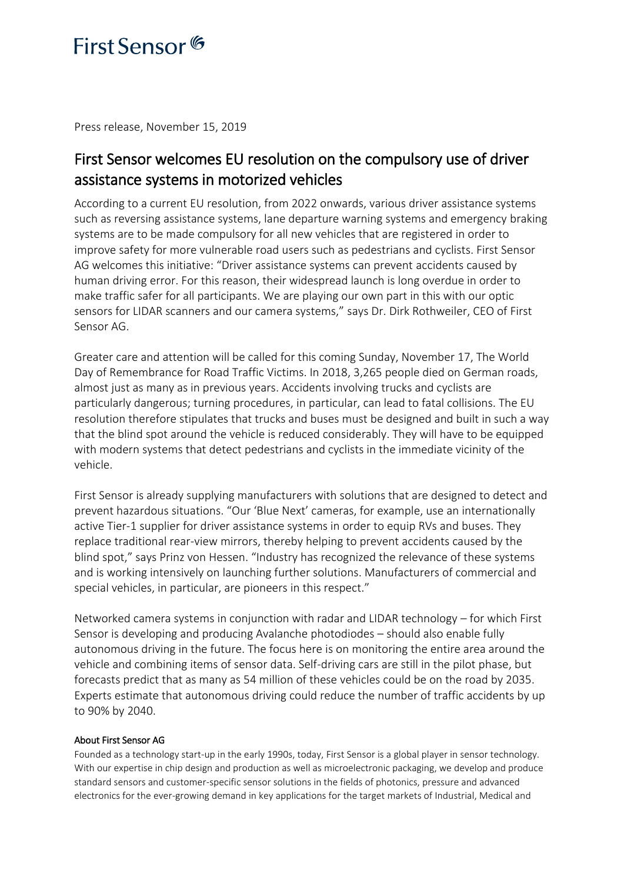## First Sensor<sup>6</sup>

Press release, November 15, 2019

### First Sensor welcomes EU resolution on the compulsory use of driver assistance systems in motorized vehicles

According to a current EU resolution, from 2022 onwards, various driver assistance systems such as reversing assistance systems, lane departure warning systems and emergency braking systems are to be made compulsory for all new vehicles that are registered in order to improve safety for more vulnerable road users such as pedestrians and cyclists. First Sensor AG welcomes this initiative: "Driver assistance systems can prevent accidents caused by human driving error. For this reason, their widespread launch is long overdue in order to make traffic safer for all participants. We are playing our own part in this with our optic sensors for LIDAR scanners and our camera systems," says Dr. Dirk Rothweiler, CEO of First Sensor AG.

Greater care and attention will be called for this coming Sunday, November 17, The World Day of Remembrance for Road Traffic Victims. In 2018, 3,265 people died on German roads, almost just as many as in previous years. Accidents involving trucks and cyclists are particularly dangerous; turning procedures, in particular, can lead to fatal collisions. The EU resolution therefore stipulates that trucks and buses must be designed and built in such a way that the blind spot around the vehicle is reduced considerably. They will have to be equipped with modern systems that detect pedestrians and cyclists in the immediate vicinity of the vehicle.

First Sensor is already supplying manufacturers with solutions that are designed to detect and prevent hazardous situations. "Our 'Blue Next' cameras, for example, use an internationally active Tier-1 supplier for driver assistance systems in order to equip RVs and buses. They replace traditional rear-view mirrors, thereby helping to prevent accidents caused by the blind spot," says Prinz von Hessen. "Industry has recognized the relevance of these systems and is working intensively on launching further solutions. Manufacturers of commercial and special vehicles, in particular, are pioneers in this respect."

Networked camera systems in conjunction with radar and LIDAR technology – for which First Sensor is developing and producing Avalanche photodiodes – should also enable fully autonomous driving in the future. The focus here is on monitoring the entire area around the vehicle and combining items of sensor data. Self-driving cars are still in the pilot phase, but forecasts predict that as many as 54 million of these vehicles could be on the road by 2035. Experts estimate that autonomous driving could reduce the number of traffic accidents by up to 90% by 2040.

### About First Sensor AG

Founded as a technology start-up in the early 1990s, today, First Sensor is a global player in sensor technology. With our expertise in chip design and production as well as microelectronic packaging, we develop and produce standard sensors and customer-specific sensor solutions in the fields of photonics, pressure and advanced electronics for the ever-growing demand in key applications for the target markets of Industrial, Medical and